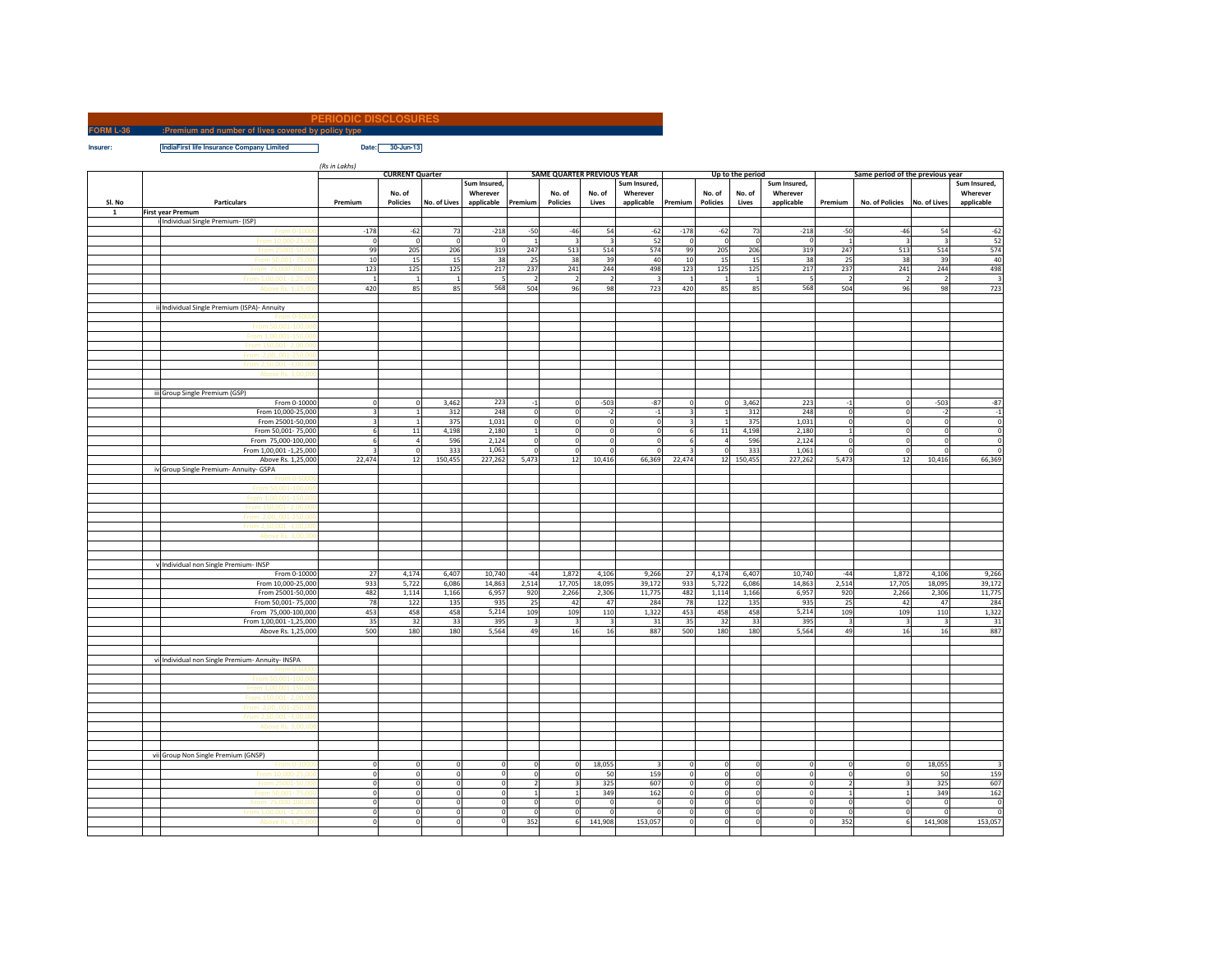## **PERIODIC DISCLOSURES**

**FORM L-36 :Premium and number of lives covered by policy typeIndiaFirst life Insurance Company Limited** Date: 30-Jun-13

*(Rs in Lakhs)*

|        |                                                  | <b>CURRENT Quarter</b>  |                 |                |                |                         | SAME QUARTER PREVIOUS YEAR |                |                | Up to the period        |                |                |                          | Same period of the previous year |                         |                         |                         |
|--------|--------------------------------------------------|-------------------------|-----------------|----------------|----------------|-------------------------|----------------------------|----------------|----------------|-------------------------|----------------|----------------|--------------------------|----------------------------------|-------------------------|-------------------------|-------------------------|
|        |                                                  |                         |                 |                | Sum Insured,   |                         |                            |                | Sum Insured,   |                         |                |                | Sum Insured,             |                                  |                         |                         | Sum Insured,            |
|        |                                                  |                         | No. of          |                | Wherever       |                         | No. of                     | No. of         | Wherever       |                         | No. of         | No. of         | Wherever                 |                                  |                         |                         | Wherever                |
| SI. No | Particulars                                      | Premium                 | <b>Policies</b> | No. of Lives   | applicable     | Premium                 | <b>Policies</b>            | Lives          | applicable     | Premium                 | Policies       | Lives          | applicable               | Premium                          | No. of Policies         | No. of Lives            | applicable              |
| 1      | <b>First year Premum</b>                         |                         |                 |                |                |                         |                            |                |                |                         |                |                |                          |                                  |                         |                         |                         |
|        | i Individual Single Premium- (ISP)               |                         |                 |                |                |                         |                            |                |                |                         |                |                |                          |                                  |                         |                         |                         |
|        | From 0-100                                       | $-178$                  | $-62$           | 73             | $-218$         | $-50$                   | $-46$                      | 54             | $-62$          | $-178$                  | $-62$          | 73             | $-218$                   | $-50$                            | $-46$                   | 54                      | $-62$                   |
|        |                                                  | $\mathbf 0$             | $\circ$         | $\circ$        | $\mathbf 0$    | $\mathbf 1$             | $\overline{\mathbf{3}}$    |                | 52             | $\mathbf 0$             | $\mathbf 0$    | $\Omega$       | $\Omega$                 | $\mathbf{1}$                     |                         | $\overline{\mathbf{3}}$ | 52                      |
|        |                                                  | 99                      | 205             | 206            | 319            | 247                     | 513                        | 514            | 574            | 99                      | 205            | 206            | 319                      | 247                              | 513                     | 514                     | 574                     |
|        | From 25001-50,0                                  |                         |                 |                |                |                         |                            |                |                |                         |                |                | 38                       |                                  |                         |                         |                         |
|        | From 50,001-75,0                                 | 10                      | 15              | 15             | 38             | 25                      | 38                         | 39             | 40             | 10                      | 15             | 15             |                          | 25                               | 38                      | 39                      | 40                      |
|        | From 75,000-100.0                                | 123                     | 125             | 125            | 217            | 237                     | 241                        | 244            | 498            | 123                     | 125            | 125            | 217                      | 237                              | 241                     | 244                     | 498                     |
|        | From 1.00.001 -1.25.0                            | $\overline{1}$          | $\mathbf{1}$    | $\mathbf{1}$   | 5              | $\overline{2}$          | $\overline{2}$             | $\overline{2}$ | $\overline{3}$ | $\mathbf{1}$            | $\,$ 1         | $\overline{1}$ | $\overline{\phantom{a}}$ | $\overline{2}$                   | $\overline{2}$          | $\overline{2}$          | $\overline{\mathbf{3}}$ |
|        | Ahove Rs. 1.25.0                                 | 420                     | 85              | 85             | 568            | 504                     | 96                         | 98             | 723            | 420                     | 85             | 85             | 568                      | 504                              | 96                      | 98                      | 723                     |
|        |                                                  |                         |                 |                |                |                         |                            |                |                |                         |                |                |                          |                                  |                         |                         |                         |
|        | ii Individual Single Premium (ISPA)- Annuity     |                         |                 |                |                |                         |                            |                |                |                         |                |                |                          |                                  |                         |                         |                         |
|        | From 0-50                                        |                         |                 |                |                |                         |                            |                |                |                         |                |                |                          |                                  |                         |                         |                         |
|        | From 50.001-100.0                                |                         |                 |                |                |                         |                            |                |                |                         |                |                |                          |                                  |                         |                         |                         |
|        | From 1.00.001-150.0                              |                         |                 |                |                |                         |                            |                |                |                         |                |                |                          |                                  |                         |                         |                         |
|        | From 150,001-2,001                               |                         |                 |                |                |                         |                            |                |                |                         |                |                |                          |                                  |                         |                         |                         |
|        | From 2.00001-250                                 |                         |                 |                |                |                         |                            |                |                |                         |                |                |                          |                                  |                         |                         |                         |
|        |                                                  |                         |                 |                |                |                         |                            |                |                |                         |                |                |                          |                                  |                         |                         |                         |
|        |                                                  |                         |                 |                |                |                         |                            |                |                |                         |                |                |                          |                                  |                         |                         |                         |
|        | Above Rs. 3,00,0                                 |                         |                 |                |                |                         |                            |                |                |                         |                |                |                          |                                  |                         |                         |                         |
|        |                                                  |                         |                 |                |                |                         |                            |                |                |                         |                |                |                          |                                  |                         |                         |                         |
|        | iii Group Single Premium (GSP)                   |                         |                 |                |                |                         |                            |                |                |                         |                |                |                          |                                  |                         |                         |                         |
|        | From 0-10000                                     | $\Omega$                | $\overline{0}$  | 3,462          | 223            | $^{\circ}1$             | $\overline{0}$             | $-503$         | $-87$          | $\circ$                 | $\mathbf 0$    | 3,462          | 223                      | $-1$                             | $\Omega$                | $-503$                  | $-87$                   |
|        | From 10,000-25,000                               | $\overline{\mathbf{z}}$ | $\overline{1}$  | 312            | 248            | $\mathbf 0$             | $\overline{0}$             | $-2$           | $^{\rm -1}$    | $\overline{\mathbf{3}}$ | $\overline{1}$ | 312            | 248                      | $\mathbf 0$                      | $\Omega$                | $-2$                    | $-1$                    |
|        | From 25001-50,000                                | $\overline{\mathbf{3}}$ | 1               | 375            | 1,031          | $\circ$                 | 0                          | $\Omega$       | $\mathbf 0$    | $\overline{\mathbf{3}}$ | $\mathbf{1}$   | 375            | 1,031                    | $\mathbf 0$                      | $\mathbf 0$             | $\circ$                 | $\overline{\mathbf{0}}$ |
|        | From 50,001-75,000                               | 6                       | 11              | 4,198          | 2,180          | $\mathbf 1$             | 0                          | $\Omega$       | $\overline{0}$ | 6                       | 11             | 4,198          | 2,180                    | $\mathbf{1}$                     | $\Omega$                | $\circ$                 | $\overline{0}$          |
|        | From 75,000-100,000                              | f                       | $\sqrt{4}$      | 596            | 2,124          | $\overline{0}$          | $\circ$                    |                | $\Omega$       | £                       | $\sqrt{4}$     | 596            | 2,124                    | $\circ$                          | $\Omega$                | $\Omega$                | $\overline{0}$          |
|        | From 1,00,001 -1,25,000                          | 3                       | $\circ$         | 333            | 1,061          | $\circ$                 | $\circ$                    |                | $^{\circ}$     | Е                       | $\mathsf 0$    | 333            | 1,061                    | $\circ$                          | $\Omega$                | $\circ$                 | $\mathbf 0$             |
|        | Above Rs. 1,25,000                               | 22,474                  | 12              | 150,455        | 227,262        | 5,473                   | 12                         | 10,416         | 66,369         | 22,474                  | 12             | 150,455        | 227,262                  | 5,473                            | 12                      | 10,416                  | 66,369                  |
|        | iv Group Single Premium- Annuity- GSPA           |                         |                 |                |                |                         |                            |                |                |                         |                |                |                          |                                  |                         |                         |                         |
|        |                                                  |                         |                 |                |                |                         |                            |                |                |                         |                |                |                          |                                  |                         |                         |                         |
|        |                                                  |                         |                 |                |                |                         |                            |                |                |                         |                |                |                          |                                  |                         |                         |                         |
|        | From 50,001-100,0                                |                         |                 |                |                |                         |                            |                |                |                         |                |                |                          |                                  |                         |                         |                         |
|        | From 1,00,001-150,0                              |                         |                 |                |                |                         |                            |                |                |                         |                |                |                          |                                  |                         |                         |                         |
|        | From 150.001-2.00.                               |                         |                 |                |                |                         |                            |                |                |                         |                |                |                          |                                  |                         |                         |                         |
|        | From 2,00,,001-250,0                             |                         |                 |                |                |                         |                            |                |                |                         |                |                |                          |                                  |                         |                         |                         |
|        | From 2.50,001 -3.00.0                            |                         |                 |                |                |                         |                            |                |                |                         |                |                |                          |                                  |                         |                         |                         |
|        | Above Rs. 3,00.                                  |                         |                 |                |                |                         |                            |                |                |                         |                |                |                          |                                  |                         |                         |                         |
|        |                                                  |                         |                 |                |                |                         |                            |                |                |                         |                |                |                          |                                  |                         |                         |                         |
|        |                                                  |                         |                 |                |                |                         |                            |                |                |                         |                |                |                          |                                  |                         |                         |                         |
|        | v Individual non Single Premium- INSP            |                         |                 |                |                |                         |                            |                |                |                         |                |                |                          |                                  |                         |                         |                         |
|        | From 0-10000                                     | 27                      | 4,174           | 6,407          | 10,740         | $-44$                   | 1,872                      | 4,106          | 9,266          | $27\,$                  | 4,174          | 6,407          | 10,740                   | $-44$                            | 1,872                   | 4,106                   | 9,266                   |
|        | From 10,000-25,000                               | 933                     | 5,722           | 6,086          | 14,863         | 2,514                   | 17,705                     | 18,095         | 39,172         | 933                     | 5,722          | 6,086          | 14,863                   | 2,514                            | 17,705                  | 18,095                  | 39,172                  |
|        | From 25001-50,000                                | 482                     | 1,114           | 1,166          | 6,957          | 920                     | 2,266                      | 2,306          | 11,775         | 482                     | 1,114          | 1,166          | 6,957                    | 920                              | 2,266                   | 2,306                   | 11,775                  |
|        |                                                  |                         |                 |                |                |                         |                            |                |                |                         |                |                |                          |                                  |                         |                         |                         |
|        | From 50,001-75,000                               | 78                      | 122             | 135            | 935            | 25                      | 42                         | 47             | 284            | 78                      | 122            | 135            | 935                      | 25                               | 42                      | 47                      | 284                     |
|        | From 75,000-100,000                              | 453                     | 458             | 458            | 5,214          | 109                     | 109                        | 110            | 1,322          | 453                     | 458            | 458            | 5,214                    | 109                              | 109                     | 110                     | 1,322                   |
|        | From 1,00,001 -1,25,000                          | 35                      | 32              | 33             | 395            | $\overline{\mathbf{3}}$ | $\overline{\mathbf{3}}$    |                | 31             | 35                      | 32             | 33             | 395                      | $\overline{\mathbf{3}}$          |                         | 3                       | 31                      |
|        | Above Rs. 1,25,000                               | 500                     | 180             | 180            | 5,564          | 49                      | 16                         | 16             | 887            | 500                     | 180            | 180            | 5,564                    | 49                               | 16                      | 16                      | 887                     |
|        |                                                  |                         |                 |                |                |                         |                            |                |                |                         |                |                |                          |                                  |                         |                         |                         |
|        |                                                  |                         |                 |                |                |                         |                            |                |                |                         |                |                |                          |                                  |                         |                         |                         |
|        | vi Individual non Single Premium- Annuity- INSPA |                         |                 |                |                |                         |                            |                |                |                         |                |                |                          |                                  |                         |                         |                         |
|        |                                                  |                         |                 |                |                |                         |                            |                |                |                         |                |                |                          |                                  |                         |                         |                         |
|        |                                                  |                         |                 |                |                |                         |                            |                |                |                         |                |                |                          |                                  |                         |                         |                         |
|        | From 1,00,001-150,                               |                         |                 |                |                |                         |                            |                |                |                         |                |                |                          |                                  |                         |                         |                         |
|        | From 150.001-2.00.                               |                         |                 |                |                |                         |                            |                |                |                         |                |                |                          |                                  |                         |                         |                         |
|        |                                                  |                         |                 |                |                |                         |                            |                |                |                         |                |                |                          |                                  |                         |                         |                         |
|        | From 2.00001-250.<br>From 2.50.001 -3.00.        |                         |                 |                |                |                         |                            |                |                |                         |                |                |                          |                                  |                         |                         |                         |
|        |                                                  |                         |                 |                |                |                         |                            |                |                |                         |                |                |                          |                                  |                         |                         |                         |
|        | Above Rs. 3,00.                                  |                         |                 |                |                |                         |                            |                |                |                         |                |                |                          |                                  |                         |                         |                         |
|        |                                                  |                         |                 |                |                |                         |                            |                |                |                         |                |                |                          |                                  |                         |                         |                         |
|        |                                                  |                         |                 |                |                |                         |                            |                |                |                         |                |                |                          |                                  |                         |                         |                         |
|        | vii Group Non Single Premium (GNSP)              |                         |                 |                |                |                         |                            |                |                |                         |                |                |                          |                                  |                         |                         |                         |
|        | From 0-100                                       | $\Omega$                | $\overline{0}$  | $\circ$        | $\circ$        | $\mathbf 0$             | 0                          | 18,055         | 3              | $^{\circ}$              | $\circ$        |                | $\Omega$                 | $\mathbf{0}$                     | $\overline{0}$          | 18,055                  |                         |
|        | From 10,000-25,0                                 | $\circ$                 | $\circ$         | $\circ$        | $\circ$        | $\circ$                 | $\circ$                    | 50             | 159            | $\overline{0}$          | $\,$ 0         | $\Omega$       | $\circ$                  | $\mathbf 0$                      | $\circ$                 | 50                      | 159                     |
|        | From 25001-50.0                                  | $\mathbf 0$             | $\circ$         | $\circ$        | $\circ$        | $\overline{2}$          | $\overline{\mathbf{3}}$    | 325            | 607            | $\circ$                 | $\mathbf 0$    | $\Omega$       | $\circ$                  | $\overline{2}$                   | $\overline{\mathbf{3}}$ | 325                     | 607                     |
|        | From 50,001-75.0                                 | $\mathbf{0}$            | $\circ$         | $\circ$        | $\overline{0}$ | $\mathbf{1}$            | 1                          | 349            | 162            | $\circ$                 | $\circ$        | $\Omega$       | $\Omega$                 | $\mathbf{1}$                     | $\mathbf{1}$            | 349                     | 162                     |
|        | From 75,000-100.0                                | $\circ$                 | $\circ$         | $\overline{0}$ | $\overline{0}$ | $\overline{0}$          | $\mathbf{0}$               | $\overline{0}$ | $\mathbf 0$    | $\circ$                 | $\circ$        | $^{\circ}$     | $\circ$                  | $\circ$                          | $\Omega$                | $\circ$                 | $\overline{\mathbf{0}}$ |
|        | From 1,00,001 -1,25,0                            | $\circ$                 | $\circ$         | $\circ$        | $\circ$        | $\circ$                 | 0                          | $\Omega$       | $\mathbf 0$    | $\circ$                 | $\circ$        | $^{\circ}$     | $\circ$                  | $\circ$                          | $\Omega$                | $\circ$                 | $\circ$                 |
|        |                                                  | $\Omega$                | $\Omega$        | $\mathbf{0}$   | $\circ$        | 352                     | 6                          | 141,908        | 153,057        | $\Omega$                | ō              |                | $\Omega$                 | 352                              |                         | 141,908                 | 153,057                 |
|        | Above Rs. 1,25,0                                 |                         |                 |                |                |                         |                            |                |                |                         |                |                |                          |                                  |                         |                         |                         |
|        |                                                  |                         |                 |                |                |                         |                            |                |                |                         |                |                |                          |                                  |                         |                         |                         |